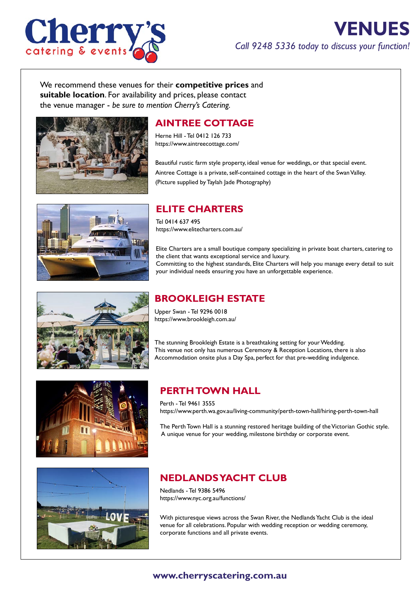

# **VENUES** *Call 9248 5336 today to discuss your function!*

We recommend these venues for their **competitive prices** and **suitable location**. For availability and prices, please contact the venue manager - *be sure to mention Cherry's Catering.*



### **AINTREE COTTAGE**

Herne Hill - Tel 0412 126 733 https://www.aintreecottage.com/

Beautiful rustic farm style property, ideal venue for weddings, or that special event. Aintree Cottage is a private, self-contained cottage in the heart of the Swan Valley. (Picture supplied by Taylah Jade Photography)



#### **ELITE CHARTERS**

Tel 0414 637 495 [https://www.elitecharters.com.au/](http://elitecharters.com.au/)

Elite Charters are a small boutique company specializing in private boat charters, catering to the client that wants exceptional service and luxury. Committing to the highest standards, Elite Charters will help you manage every detail to suit your individual needs ensuring you have an unforgettable experience.



# **BROOKLEIGH ESTATE**

Upper Swan - Tel 9296 0018 https://www.brookleigh.com.au/

The stunning Brookleigh Estate is a breathtaking setting for your Wedding. This venue not only has numerous Ceremony & Reception Locations, there is also Accommodation onsite plus a Day Spa, perfect for that pre-wedding indulgence.



# **PERTH TOWN HALL**

Perth - Tel 9461 3555 https://www.perth.wa.gov.au/living-community/perth-town-hall/hiring-perth-town-hall

The Perth Town Hall is a stunning restored heritage building of the Victorian Gothic style. A unique venue for your wedding, milestone birthday or corporate event.



# **NEDLANDS YACHT CLUB**

Nedlands - Tel 9386 5496 https://www.nyc.org.au/functions/

With picturesque views across the Swan River, the Nedlands Yacht Club is the ideal venue for all celebrations. Popular with wedding reception or wedding ceremony, corporate functions and all private events.

#### **www.cherryscatering.com.au**